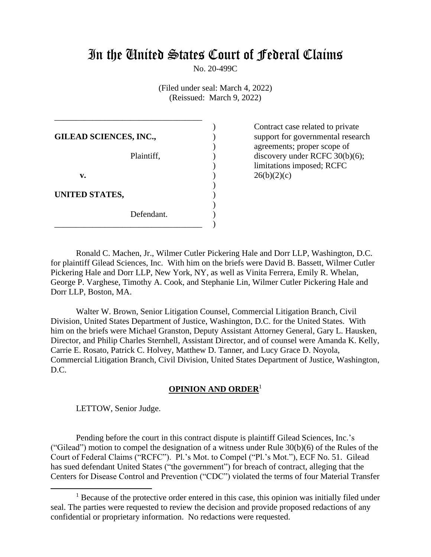# In the United States Court of Federal Claims

No. 20-499C

(Filed under seal: March 4, 2022) (Reissued: March 9, 2022)

| <b>GILEAD SCIENCES, INC.,</b> |            |  |
|-------------------------------|------------|--|
|                               | Plaintiff, |  |
| v.                            |            |  |
| UNITED STATES,                |            |  |
|                               | Defendant. |  |

\_\_\_\_\_\_\_\_\_\_\_\_\_\_\_\_\_\_\_\_\_\_\_\_\_\_\_\_\_\_\_\_\_\_\_

Contract case related to private support for governmental research agreements; proper scope of discovery under RCFC 30(b)(6); limitations imposed; RCFC  $26(b)(2)(c)$ 

Ronald C. Machen, Jr., Wilmer Cutler Pickering Hale and Dorr LLP, Washington, D.C. for plaintiff Gilead Sciences, Inc. With him on the briefs were David B. Bassett, Wilmer Cutler Pickering Hale and Dorr LLP, New York, NY, as well as Vinita Ferrera, Emily R. Whelan, George P. Varghese, Timothy A. Cook, and Stephanie Lin, Wilmer Cutler Pickering Hale and Dorr LLP, Boston, MA.

Walter W. Brown, Senior Litigation Counsel, Commercial Litigation Branch, Civil Division, United States Department of Justice, Washington, D.C. for the United States. With him on the briefs were Michael Granston, Deputy Assistant Attorney General, Gary L. Hausken, Director, and Philip Charles Sternhell, Assistant Director, and of counsel were Amanda K. Kelly, Carrie E. Rosato, Patrick C. Holvey, Matthew D. Tanner, and Lucy Grace D. Noyola, Commercial Litigation Branch, Civil Division, United States Department of Justice, Washington, D.C.

# **OPINION AND ORDER**<sup>1</sup>

LETTOW, Senior Judge.

Pending before the court in this contract dispute is plaintiff Gilead Sciences, Inc.'s ("Gilead") motion to compel the designation of a witness under Rule 30(b)(6) of the Rules of the Court of Federal Claims ("RCFC"). Pl.'s Mot. to Compel ("Pl.'s Mot."), ECF No. 51. Gilead has sued defendant United States ("the government") for breach of contract, alleging that the Centers for Disease Control and Prevention ("CDC") violated the terms of four Material Transfer

 $<sup>1</sup>$  Because of the protective order entered in this case, this opinion was initially filed under</sup> seal. The parties were requested to review the decision and provide proposed redactions of any confidential or proprietary information. No redactions were requested.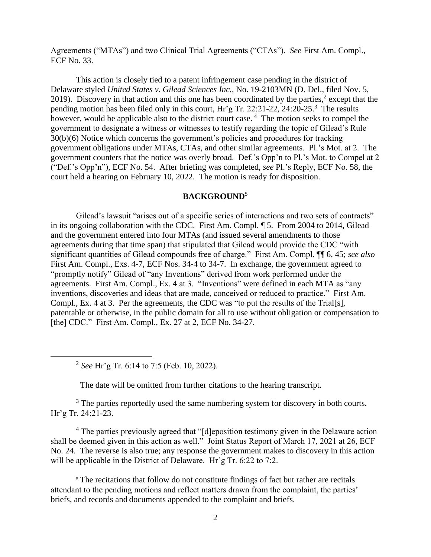Agreements ("MTAs") and two Clinical Trial Agreements ("CTAs"). *See* First Am. Compl., ECF No. 33.

This action is closely tied to a patent infringement case pending in the district of Delaware styled *United States v. Gilead Sciences Inc.,* No. 19-2103MN (D. Del., filed Nov. 5, 2019). Discovery in that action and this one has been coordinated by the parties,<sup>2</sup> except that the pending motion has been filed only in this court, Hr'g Tr. 22:21-22, 24:20-25.<sup>3</sup> The results however, would be applicable also to the district court case.<sup>4</sup> The motion seeks to compel the government to designate a witness or witnesses to testify regarding the topic of Gilead's Rule 30(b)(6) Notice which concerns the government's policies and procedures for tracking government obligations under MTAs, CTAs, and other similar agreements. Pl.'s Mot. at 2. The government counters that the notice was overly broad. Def.'s Opp'n to Pl.'s Mot. to Compel at 2 ("Def.'s Opp'n"), ECF No. 54. After briefing was completed, *see* Pl.'s Reply, ECF No. 58, the court held a hearing on February 10, 2022. The motion is ready for disposition.

### **BACKGROUND**<sup>5</sup>

Gilead's lawsuit "arises out of a specific series of interactions and two sets of contracts" in its ongoing collaboration with the CDC. First Am. Compl. ¶ 5. From 2004 to 2014, Gilead and the government entered into four MTAs (and issued several amendments to those agreements during that time span) that stipulated that Gilead would provide the CDC "with significant quantities of Gilead compounds free of charge." First Am. Compl. ¶¶ 6, 45; *see also* First Am. Compl., Exs. 4-7, ECF Nos. 34-4 to 34-7. In exchange, the government agreed to "promptly notify" Gilead of "any Inventions" derived from work performed under the agreements. First Am. Compl., Ex. 4 at 3. "Inventions" were defined in each MTA as "any inventions, discoveries and ideas that are made, conceived or reduced to practice." First Am. Compl., Ex. 4 at 3. Per the agreements, the CDC was "to put the results of the Trial[s], patentable or otherwise, in the public domain for all to use without obligation or compensation to [the] CDC." First Am. Compl., Ex. 27 at 2, ECF No. 34-27.

2 *See* Hr'g Tr. 6:14 to 7:5 (Feb. 10, 2022).

The date will be omitted from further citations to the hearing transcript.

<sup>3</sup> The parties reportedly used the same numbering system for discovery in both courts. Hr'g Tr. 24:21-23.

<sup>4</sup> The parties previously agreed that "[d]eposition testimony given in the Delaware action shall be deemed given in this action as well." Joint Status Report of March 17, 2021 at 26, ECF No. 24. The reverse is also true; any response the government makes to discovery in this action will be applicable in the District of Delaware. Hr'g Tr. 6:22 to 7:2.

<sup>5</sup> The recitations that follow do not constitute findings of fact but rather are recitals attendant to the pending motions and reflect matters drawn from the complaint, the parties' briefs, and records and documents appended to the complaint and briefs.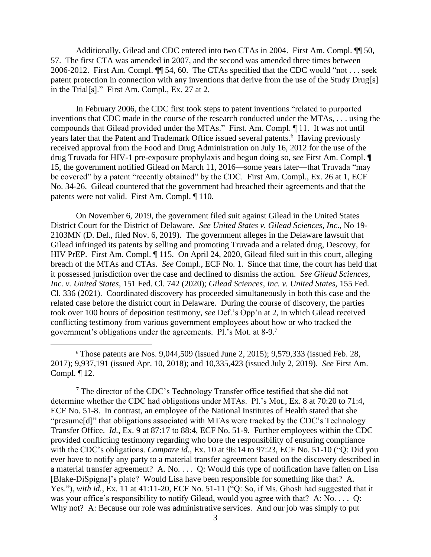Additionally, Gilead and CDC entered into two CTAs in 2004. First Am. Compl.  $\P$  50, 57. The first CTA was amended in 2007, and the second was amended three times between 2006-2012. First Am. Compl. ¶¶ 54, 60. The CTAs specified that the CDC would "not . . . seek patent protection in connection with any inventions that derive from the use of the Study Drug[s] in the Trial[s]." First Am. Compl., Ex. 27 at 2.

In February 2006, the CDC first took steps to patent inventions "related to purported inventions that CDC made in the course of the research conducted under the MTAs, . . . using the compounds that Gilead provided under the MTAs." First. Am. Compl. ¶ 11. It was not until years later that the Patent and Trademark Office issued several patents.<sup>6</sup> Having previously received approval from the Food and Drug Administration on July 16, 2012 for the use of the drug Truvada for HIV-1 pre-exposure prophylaxis and begun doing so, s*ee* First Am. Compl. ¶ 15, the government notified Gilead on March 11, 2016—some years later—that Truvada "may be covered" by a patent "recently obtained" by the CDC. First Am. Compl., Ex. 26 at 1, ECF No. 34-26. Gilead countered that the government had breached their agreements and that the patents were not valid. First Am. Compl. ¶ 110.

On November 6, 2019, the government filed suit against Gilead in the United States District Court for the District of Delaware. *See United States v. Gilead Sciences, Inc*., No 19- 2103MN (D. Del., filed Nov. 6, 2019). The government alleges in the Delaware lawsuit that Gilead infringed its patents by selling and promoting Truvada and a related drug, Descovy, for HIV PrEP. First Am. Compl. ¶ 115. On April 24, 2020, Gilead filed suit in this court, alleging breach of the MTAs and CTAs. *See* Compl., ECF No. 1. Since that time, the court has held that it possessed jurisdiction over the case and declined to dismiss the action. *See Gilead Sciences, Inc. v. United States*, 151 Fed. Cl. 742 (2020); *Gilead Sciences, Inc. v. United States,* 155 Fed. Cl. 336 (2021). Coordinated discovery has proceeded simultaneously in both this case and the related case before the district court in Delaware. During the course of discovery, the parties took over 100 hours of deposition testimony, *see* Def.'s Opp'n at 2, in which Gilead received conflicting testimony from various government employees about how or who tracked the government's obligations under the agreements. Pl.'s Mot. at 8-9.<sup>7</sup>

 $7$  The director of the CDC's Technology Transfer office testified that she did not determine whether the CDC had obligations under MTAs. Pl.'s Mot., Ex. 8 at 70:20 to 71:4, ECF No. 51-8. In contrast, an employee of the National Institutes of Health stated that she "presume[d]" that obligations associated with MTAs were tracked by the CDC's Technology Transfer Office. *Id.*, Ex. 9 at 87:17 to 88:4, ECF No. 51-9. Further employees within the CDC provided conflicting testimony regarding who bore the responsibility of ensuring compliance with the CDC's obligations. *Compare id.*, Ex. 10 at 96:14 to 97:23, ECF No. 51-10 ("Q: Did you ever have to notify any party to a material transfer agreement based on the discovery described in a material transfer agreement? A. No. . . . O: Would this type of notification have fallen on Lisa [Blake-DiSpigna]'s plate? Would Lisa have been responsible for something like that? A. Yes."), *with id.*, Ex. 11 at 41:11-20, ECF No. 51-11 ("Q: So, if Ms. Ghosh had suggested that it was your office's responsibility to notify Gilead, would you agree with that? A: No. . . . Q: Why not? A: Because our role was administrative services. And our job was simply to put

 $6$  Those patents are Nos. 9,044,509 (issued June 2, 2015); 9,579,333 (issued Feb. 28, 2017); 9,937,191 (issued Apr. 10, 2018); and 10,335,423 (issued July 2, 2019). *See* First Am. Compl. ¶ 12.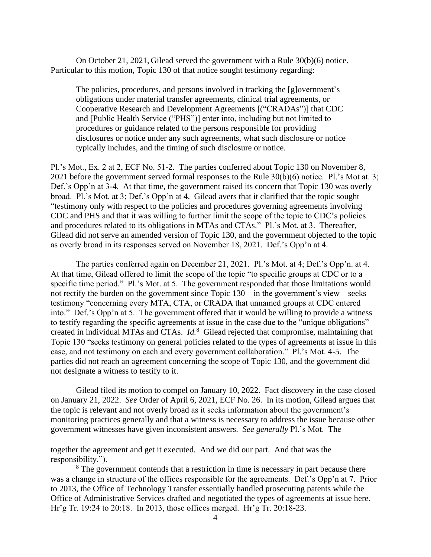On October 21, 2021, Gilead served the government with a Rule 30(b)(6) notice. Particular to this motion, Topic 130 of that notice sought testimony regarding:

The policies, procedures, and persons involved in tracking the [g]overnment's obligations under material transfer agreements, clinical trial agreements, or Cooperative Research and Development Agreements [("CRADAs")] that CDC and [Public Health Service ("PHS")] enter into, including but not limited to procedures or guidance related to the persons responsible for providing disclosures or notice under any such agreements, what such disclosure or notice typically includes, and the timing of such disclosure or notice.

Pl.'s Mot., Ex. 2 at 2, ECF No. 51-2. The parties conferred about Topic 130 on November 8, 2021 before the government served formal responses to the Rule 30(b)(6) notice. Pl.'s Mot at. 3; Def.'s Opp'n at 3-4. At that time, the government raised its concern that Topic 130 was overly broad. Pl.'s Mot. at 3; Def.'s Opp'n at 4. Gilead avers that it clarified that the topic sought "testimony only with respect to the policies and procedures governing agreements involving CDC and PHS and that it was willing to further limit the scope of the topic to CDC's policies and procedures related to its obligations in MTAs and CTAs." Pl.'s Mot. at 3. Thereafter, Gilead did not serve an amended version of Topic 130, and the government objected to the topic as overly broad in its responses served on November 18, 2021. Def.'s Opp'n at 4.

The parties conferred again on December 21, 2021. Pl.'s Mot. at 4; Def.'s Opp'n. at 4. At that time, Gilead offered to limit the scope of the topic "to specific groups at CDC or to a specific time period." Pl.'s Mot. at 5. The government responded that those limitations would not rectify the burden on the government since Topic 130—in the government's view—seeks testimony "concerning every MTA, CTA, or CRADA that unnamed groups at CDC entered into." Def.'s Opp'n at 5. The government offered that it would be willing to provide a witness to testify regarding the specific agreements at issue in the case due to the "unique obligations" created in individual MTAs and CTAs. *Id.*<sup>8</sup> Gilead rejected that compromise, maintaining that Topic 130 "seeks testimony on general policies related to the types of agreements at issue in this case, and not testimony on each and every government collaboration." Pl.'s Mot. 4-5. The parties did not reach an agreement concerning the scope of Topic 130, and the government did not designate a witness to testify to it.

Gilead filed its motion to compel on January 10, 2022. Fact discovery in the case closed on January 21, 2022. *See* Order of April 6, 2021, ECF No. 26. In its motion, Gilead argues that the topic is relevant and not overly broad as it seeks information about the government's monitoring practices generally and that a witness is necessary to address the issue because other government witnesses have given inconsistent answers. *See generally* Pl.'s Mot. The

together the agreement and get it executed. And we did our part. And that was the responsibility.").

<sup>&</sup>lt;sup>8</sup> The government contends that a restriction in time is necessary in part because there was a change in structure of the offices responsible for the agreements. Def.'s Opp'n at 7. Prior to 2013, the Office of Technology Transfer essentially handled prosecuting patents while the Office of Administrative Services drafted and negotiated the types of agreements at issue here. Hr'g Tr. 19:24 to 20:18. In 2013, those offices merged. Hr'g Tr. 20:18-23.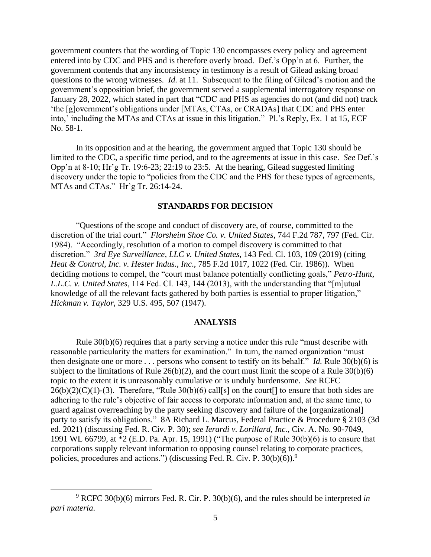government counters that the wording of Topic 130 encompasses every policy and agreement entered into by CDC and PHS and is therefore overly broad. Def.'s Opp'n at 6. Further, the government contends that any inconsistency in testimony is a result of Gilead asking broad questions to the wrong witnesses. *Id.* at 11. Subsequent to the filing of Gilead's motion and the government's opposition brief, the government served a supplemental interrogatory response on January 28, 2022, which stated in part that "CDC and PHS as agencies do not (and did not) track 'the [g]overnment's obligations under [MTAs, CTAs, or CRADAs] that CDC and PHS enter into,' including the MTAs and CTAs at issue in this litigation." Pl.'s Reply, Ex. 1 at 15, ECF No. 58-1.

In its opposition and at the hearing, the government argued that Topic 130 should be limited to the CDC, a specific time period, and to the agreements at issue in this case. *See* Def.'s Opp'n at 8-10; Hr'g Tr. 19:6-23; 22:19 to 23:5. At the hearing, Gilead suggested limiting discovery under the topic to "policies from the CDC and the PHS for these types of agreements, MTAs and CTAs." Hr'g Tr. 26:14-24.

#### **STANDARDS FOR DECISION**

"Questions of the scope and conduct of discovery are, of course, committed to the discretion of the trial court." *Florsheim Shoe Co. v. United States*, 744 F.2d 787, 797 (Fed. Cir. 1984). "Accordingly, resolution of a motion to compel discovery is committed to that discretion." *3rd Eye Surveillance, LLC v. United States*, 143 Fed. Cl. 103, 109 (2019) (citing *Heat & Control, Inc. v. Hester Indus., Inc*., 785 F.2d 1017, 1022 (Fed. Cir. 1986)). When deciding motions to compel, the "court must balance potentially conflicting goals," *Petro-Hunt, L.L.C. v. United States*, 114 Fed. Cl. 143, 144 (2013), with the understanding that "[m]utual knowledge of all the relevant facts gathered by both parties is essential to proper litigation," *Hickman v. Taylor*, 329 U.S. 495, 507 (1947).

#### **ANALYSIS**

Rule 30(b)(6) requires that a party serving a notice under this rule "must describe with reasonable particularity the matters for examination." In turn, the named organization "must then designate one or more . . . persons who consent to testify on its behalf." *Id.* Rule 30(b)(6) is subject to the limitations of Rule  $26(b)(2)$ , and the court must limit the scope of a Rule  $30(b)(6)$ topic to the extent it is unreasonably cumulative or is unduly burdensome. *See* RCFC  $26(b)(2)(C)(1)-(3)$ . Therefore, "Rule  $30(b)(6)$  call[s] on the court[] to ensure that both sides are adhering to the rule's objective of fair access to corporate information and, at the same time, to guard against overreaching by the party seeking discovery and failure of the [organizational] party to satisfy its obligations." 8A Richard L. Marcus, Federal Practice & Procedure § 2103 (3d ed. 2021) (discussing Fed. R. Civ. P. 30); *see Ierardi v. Lorillard, Inc.*, Civ. A. No. 90-7049, 1991 WL 66799, at \*2 (E.D. Pa. Apr. 15, 1991) ("The purpose of Rule 30(b)(6) is to ensure that corporations supply relevant information to opposing counsel relating to corporate practices, policies, procedures and actions.") (discussing Fed. R. Civ. P.  $30(b)(6)$ .<sup>9</sup>

<sup>9</sup> RCFC 30(b)(6) mirrors Fed. R. Cir. P. 30(b)(6), and the rules should be interpreted *in pari materia*.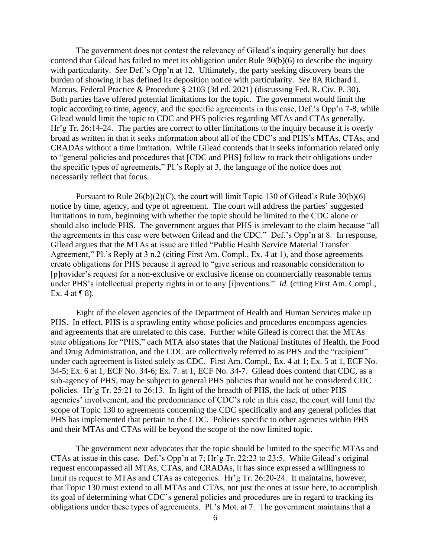The government does not contest the relevancy of Gilead's inquiry generally but does contend that Gilead has failed to meet its obligation under Rule 30(b)(6) to describe the inquiry with particularity. *See* Def.'s Opp'n at 12*.* Ultimately, the party seeking discovery bears the burden of showing it has defined its deposition notice with particularity. *See* 8A Richard L. Marcus, Federal Practice & Procedure § 2103 (3d ed. 2021) (discussing Fed. R. Civ. P. 30). Both parties have offered potential limitations for the topic. The government would limit the topic according to time, agency, and the specific agreements in this case, Def.'s Opp'n 7-8, while Gilead would limit the topic to CDC and PHS policies regarding MTAs and CTAs generally. Hr'g Tr. 26:14-24. The parties are correct to offer limitations to the inquiry because it is overly broad as written in that it seeks information about all of the CDC's and PHS's MTAs, CTAs, and CRADAs without a time limitation. While Gilead contends that it seeks information related only to "general policies and procedures that [CDC and PHS] follow to track their obligations under the specific types of agreements," Pl.'s Reply at 3, the language of the notice does not necessarily reflect that focus.

Pursuant to Rule 26(b)(2)(C), the court will limit Topic 130 of Gilead's Rule 30(b)(6) notice by time, agency, and type of agreement. The court will address the parties' suggested limitations in turn, beginning with whether the topic should be limited to the CDC alone or should also include PHS. The government argues that PHS is irrelevant to the claim because "all the agreements in this case were between Gilead and the CDC." Def.'s Opp'n at 8. In response, Gilead argues that the MTAs at issue are titled "Public Health Service Material Transfer Agreement," Pl.'s Reply at 3 n.2 (citing First Am. Compl., Ex. 4 at 1), and those agreements create obligations for PHS because it agreed to "give serious and reasonable consideration to [p]rovider's request for a non-exclusive or exclusive license on commercially reasonable terms under PHS's intellectual property rights in or to any [i]nventions." *Id.* (citing First Am. Compl., Ex. 4 at  $\P$  8).

Eight of the eleven agencies of the Department of Health and Human Services make up PHS. In effect, PHS is a sprawling entity whose policies and procedures encompass agencies and agreements that are unrelated to this case. Further while Gilead is correct that the MTAs state obligations for "PHS," each MTA also states that the National Institutes of Health, the Food and Drug Administration, and the CDC are collectively referred to as PHS and the "recipient" under each agreement is listed solely as CDC. First Am. Compl., Ex. 4 at 1; Ex. 5 at 1, ECF No. 34-5; Ex. 6 at 1, ECF No. 34-6; Ex. 7. at 1, ECF No. 34-7. Gilead does contend that CDC, as a sub-agency of PHS, may be subject to general PHS policies that would not be considered CDC policies. Hr'g Tr. 25:21 to 26:13. In light of the breadth of PHS, the lack of other PHS agencies' involvement, and the predominance of CDC's role in this case, the court will limit the scope of Topic 130 to agreements concerning the CDC specifically and any general policies that PHS has implemented that pertain to the CDC. Policies specific to other agencies within PHS and their MTAs and CTAs will be beyond the scope of the now limited topic.

The government next advocates that the topic should be limited to the specific MTAs and CTAs at issue in this case. Def.'s Opp'n at 7; Hr'g Tr. 22:23 to 23:5. While Gilead's original request encompassed all MTAs, CTAs, and CRADAs, it has since expressed a willingness to limit its request to MTAs and CTAs as categories. Hr'g Tr. 26:20-24. It maintains, however, that Topic 130 must extend to all MTAs and CTAs, not just the ones at issue here, to accomplish its goal of determining what CDC's general policies and procedures are in regard to tracking its obligations under these types of agreements. Pl.'s Mot. at 7. The government maintains that a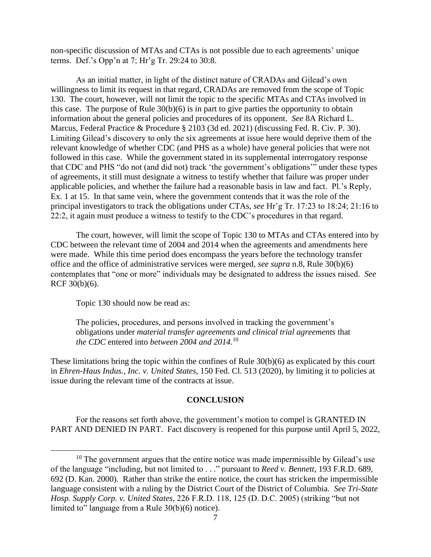non-specific discussion of MTAs and CTAs is not possible due to each agreements' unique terms. Def.'s Opp'n at 7; Hr'g Tr. 29:24 to 30:8.

As an initial matter, in light of the distinct nature of CRADAs and Gilead's own willingness to limit its request in that regard, CRADAs are removed from the scope of Topic 130. The court, however, will not limit the topic to the specific MTAs and CTAs involved in this case. The purpose of Rule 30(b)(6) is in part to give parties the opportunity to obtain information about the general policies and procedures of its opponent. *See* 8A Richard L. Marcus, Federal Practice & Procedure § 2103 (3d ed. 2021) (discussing Fed. R. Civ. P. 30). Limiting Gilead's discovery to only the six agreements at issue here would deprive them of the relevant knowledge of whether CDC (and PHS as a whole) have general policies that were not followed in this case. While the government stated in its supplemental interrogatory response that CDC and PHS "do not (and did not) track 'the government's obligations'" under these types of agreements, it still must designate a witness to testify whether that failure was proper under applicable policies, and whether the failure had a reasonable basis in law and fact. Pl.'s Reply, Ex. 1 at 15. In that same vein, where the government contends that it was the role of the principal investigators to track the obligations under CTAs, *see* Hr'g Tr. 17:23 to 18:24; 21:16 to 22:2, it again must produce a witness to testify to the CDC's procedures in that regard.

The court, however, will limit the scope of Topic 130 to MTAs and CTAs entered into by CDC between the relevant time of 2004 and 2014 when the agreements and amendments here were made. While this time period does encompass the years before the technology transfer office and the office of administrative services were merged, *see supra* n.8, Rule 30(b)(6) contemplates that "one or more" individuals may be designated to address the issues raised. *See*  RCF 30(b)(6).

Topic 130 should now be read as:

The policies, procedures, and persons involved in tracking the government's obligations under *material transfer agreements and clinical trial agreements* that *the CDC* entered into *between 2004 and 2014*. 10

These limitations bring the topic within the confines of Rule 30(b)(6) as explicated by this court in *Ehren-Haus Indus., Inc. v. United States*, 150 Fed. Cl. 513 (2020), by limiting it to policies at issue during the relevant time of the contracts at issue.

# **CONCLUSION**

For the reasons set forth above, the government's motion to compel is GRANTED IN PART AND DENIED IN PART. Fact discovery is reopened for this purpose until April 5, 2022,

 $10$  The government argues that the entire notice was made impermissible by Gilead's use of the language "including, but not limited to . . ." pursuant to *Reed v. Bennett*, 193 F.R.D. 689, 692 (D. Kan. 2000). Rather than strike the entire notice, the court has stricken the impermissible language consistent with a ruling by the District Court of the District of Columbia. *See Tri-State Hosp. Supply Corp. v. United States*, 226 F.R.D. 118, 125 (D. D.C. 2005) (striking "but not limited to" language from a Rule 30(b)(6) notice).